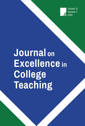Volume 31 Number 4 2020

# **Journal on Excellence in** College **Teaching**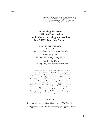Ting, F. S. T., Shroff, R. H., Lam, W. H., & Chin, D. C. W. (2020). Examining the effect of flipped instruction on students' learning approaches in a STEM learning context. *Journal on Excellence in College Teaching, 31*(4), 41-68.

# **Examining the Effect of Flipped Instruction on Students' Learning Approaches in a STEM Learning Context**

Fridolin Sze Thou Ting Ronnie H. Shroff *The Hong Kong Polytechnic University*

Wai Hung Lam *Lingnan University, Hong Kong*

David C. W. Chin *The Hong Kong Polytechnic University*

*This study aimed to better understand the effect that the flipped method of instruction has on students' learning approaches using interactive math lecture videos in a second-year vector calculus course. Three hypotheses were tested to determine if students' perceptions of their level of active engagement, the number of interactive lecture videos they watched, and the frequency of questions they attempted were significant predictors of a deep approach (DA) to learning. Using a 12-item, three-factor Active Engagement Student Perception Survey (AESPS) Instrument and a 20-item, two-factor version of the Study Process Questionnaire (R-SPQ-2F), a statistically significant correlation was found for all three hypotheses.*

# **Introduction**

*Different Approaches to Flipped Learning in STEM Education*

The "flipped" model of instruction is a pedagogical approach that typ-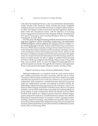ically takes the traditional lecture, a one-way information dissemination model, outside of the classroom, while activities previously completed outside of class are moved into the classroom (Cortright, Collins, & DiCarlo, 2005). The flipped model of instruction has been applied to different fields within the educational context, with the objective of increasing learner engagement and interaction by changing students' learning styles from passive learning to active learning (Keengwe, 2014; Love, Hodge, Grandgenett, & Swift, 2014).

Over the years, the flipped learning method of instruction has increasingly been applied to science, technology, engineering, and mathematics (STEM) disciplines, with an emphasis on engaging students in higher-order thinking through a flexible, student-centered learning environment. However, STEM classes typically are large, lecture-based, instructor-centered settings that employ a didactic model of teaching. Learning is viewed as the transmission of facts that learners passively receive. Moreover, the prevalence of flipped learning in STEM education necessitates the application of various instructional technologies into the learning context, by means of which learners are able to engage in problem-based learning activities with the use of digital tools (Chong, Wong, Leung, & Ting, 2019; Ting, Lam, & Shroff, 2019). As such, the flipped learning approach has garnered significant attention through the development and application of new instructional technologies (Özpinar, Yenmez, & Gökçe, 2016).

#### *Flipped Learning in Large University Mathematics Classes*

Although mathematics is a required course for most science majors, poor student performance has been associated with the lack of a basic conceptual understanding of mathematics and of how students can apply what they have learned to real-world cases. Moreover, as a result of weak mathematics skills, students in a traditional lecture class fail to grasp and apply key mathematical concepts and methods to problem solving. By embedding a flipped learning approach into the classroom context, students are able to engage and interact with their peers, discuss conceptual problems, and develop mathematical reasoning and understanding in a group setting. A study conducted by McGivney-Burelle and Xue (2013) revealed that students in a flipped calculus classroom attained higher grades compared to students in a traditional lecture calculus class, thereby indicating an increased mastery of concepts as well as conceptual understanding, analytical reasoning, and problem solving skills. Hence, prior research has demonstrated that a flipped learning instructional approach increases student performance and achievements in mathematics courses (Clark, 2015; Lai & Hwang, 2016).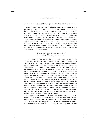#### *Integrating Video-Based Learning With the Flipped Learning Method*

Research on video-based learning has increased over the past decade due to new pedagogical practices and approaches to learning, such as the flipped learning and peer assessment methods (Karaca & Ocak, 2017; Santiago Jr., Guo, Eng, Kasley, & Phillips, 2017). Typically, interactive videos viewed outside of class provide learners control over the instructional content and pace by allowing them to engage the material and, subsequently, perform the required actions or make relevant choices. Technology allows the instructor to insert questions into the video comprising a variety of question types for students to answer as they view the video, while simultaneously allowing the instructor to automatically score students' responses. Moreover, students are able to review specific video segments at their own pace.

# *Effects of the Flipped Classroom Method on Students' Learning Approaches*

Prior research studies suggest that the flipped classroom method facilitates deep learning and optimizes learner engagement (Danker, 2015; Le Roux & Nagel, 2018). Learner-centered approaches often yield deep learning outcomes, improved conceptual understanding, and higher achievement in problem-solving activities. Learners typically have their own individual learning approaches that allow them to modify their learning strategies to suit different learning behaviors in particular contexts. Biggs (1987) has identified three distinct elements of learning approaches: (1) the deep approach to learning, which centers on an intrinsic motivation to learn and engagement with a specific area of knowledge; (2) the surface learning approach, which is centered on passive, rote memorization and the acquisition of sufficient knowledge to complete the task; and (3) the achievement learning approach, which focuses on performance strategies with added emphasis on the need for achievement. Moreover, each approach comprises of the following two elements: (1) learning motives and (2) learning strategies to further delineate the learners' learning behaviors: deep motive, deep strategy, surface motive, surface strategy, achievement motive, and achievement strategy (see Table 1).

Although research studies have yielded important new findings on the flipped model of instruction in large tertiary classes, the focus has been on in-class approaches, such as peer instruction, collaborative learning, and problem-based pedagogy. Although these studies demonstrated an increase in learner achievement using a flipped learning approach, few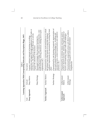|                         |                         | Learning Approaches With Corresponding Subscales and Description (Biggs, 1987)<br>Table 1                                                                                                                                 |
|-------------------------|-------------------------|---------------------------------------------------------------------------------------------------------------------------------------------------------------------------------------------------------------------------|
| Scale                   | Subscale                | Description                                                                                                                                                                                                               |
| Deep Approach           | Deep Motive             | satisfaction and appeal through engagement of the tasks or<br>activities (i.e., the degree to which the task or activity<br>Learners' intrinsic interests in learning or evoking<br>engages the attention of the learner) |
|                         | Deep Strategy           | integrating knowledge with evidence-based practice, case-<br>based reasoning, drawing interences, relating facts to past<br>Meaningful strategies that maximize learning (i.e.,<br>experiences, etc.)                     |
| <b>Surface Approach</b> | Surface Motive          | Characterized by extrinsically motivated behavior in which<br>academic requirements for assessment by exerting the least<br>the primary aim of the learner is to meet the minimal<br>ettort                               |
|                         | Surface Strategy        | Characterized by rote learning of material, memorization of<br>reproducing facts, content memorization and repetitive<br>facts and content-based knowledge (i.e., recalling and<br>practices, etc.)                       |
| Achievement<br>Approach | Achievement<br>Motive   | produce desired outcomes, attaining a high standard of<br>Characterized by an intrinsic desire and innate need to<br>success, and mastering complex tasks and challenges                                                  |
|                         | Achievement<br>Strategy | Characterized by purposeful actions and effort to achieve<br>personal learning goals and master determined<br>competencies                                                                                                |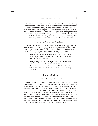studies were directly related to a mathematics context. Furthermore, only a limited number of these studies have attempted to investigate the impact and effect of flipped learning in large mathematics classes via the use of such instructional technologies. The relevance of this study lies in investigating whether careful and deliberate pedagogical planning and design around technology-enriched learning contexts for flipped instruction can enhance students' deep learning strategies and higher-order cognitive skills, including improved learning, engagement, and achievement.

#### *Research Objective and Hypotheses*

The objective of this study is to examine the effect that flipped instruction has on students' learning approaches using interactive math videos in a second-year mathematics course. Consistent with the literature discussed above, this study proposed to test the following hypotheses:

> $H<sub>i</sub>$ : Students' perceptions of their level of active engagement using interactive math videos is a significant predictor of a deep approach (DA) to learning.

> $H_2$ : The number of interactive videos watched and a deep approach (DA) to learning are positively correlated.

> $H<sub>3</sub>$ : The frequency of questions attempted in the interactive videos and a deep approach (DA) to learning are positively correlated.

# **Research Method**

#### *Research Setting and Activity*

A purposive sampling methodology was considered methodologically appropriate for this type of exploratory research. The subject pool comprised a total of 91 ( $N = 91$ ) undergraduate students from the faculty of Engineering enrolled in a second-year "Mathematics II" course offered at The Hong Kong Polytechnic University. The 13-week course included two hours of lecture and one hour of tutorial per week. The selection of this course for the study was determined by two criteria. First, the course provided a rich opportunity for embedding a flipped learning method of instruction into a classroom mathematics courses. Second, a flipped learning method of instruction in the form of interactive videos was specifically structured into the design and organization of the course.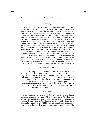#### *Technology*

HP5 (HTML5 package), an open-source online authoring tool for creating rich interactive e-learning content such as quiz-embedded interactive videos, was used in this study. This software provides for varied self-contained HTML5 interactive content and a wide range of customizable options that can be used to enhance student interaction and engagement with the course material. Moreover, the quiz-embedded video feeds allow the instructor to add multiple-choice, fill-in-the-blank, short-answer, and various other interactive formats to the videos. Finally, the authoring tool, besides extending the capabilities of the quizzes in a more interactive way, also allows for performance tracking and instant feedback of students by testing their understanding of fundamental mathematical concepts and applications. Screen captures from the HP5 interactive videos on the topic of solving non-homogeneous partial differential equations with links to drag-and-drop and multiple-choice question formats are shown in Figures 1 and 2. The first interactive link (see Figure 1) queries students on the topic of linear ordinary differential equations for which they solve the equations for the time variable function after separation of variables, and the second interactive link (see Figure 2) presents a multiple-choice question with reference to the eigenfunction of expansion in the space variable.

#### *Instructional Method*

Unlike conventional video recordings, interactive videos allow students to take control of the learning process by checking their knowledge with multiple-choice, fill-in-the-blank, and short-answer types of interactions with immediate feedback. Given that the course learning outcomes and content were *a priori* defined by the instructor, a combination of three 14-minute interactive video lectures on the method of eigenfunction expansion and substitution were tailor-made for this purpose. The interactive components were designed using HP5 and comprised multiple-choice, true-false, and short-answer questions.

#### *The Instruments*

Two instruments were used in this study to assess the effect of flipped classroom instruction on students' learning approaches. The data were collected using a self-completed questionnaire based on two instruments, yielding 91 usable samples. The first instrument, the Active Engagement Student Perception Survey (AESPS), was developed to assess students' perceptions of the flipped classroom model using interactive videos. The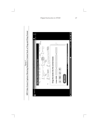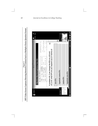

Figure 2 **HP5 Video Screen Captures Showing Interactive Content Such as Multiple-Choice Question Format**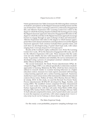9-item questionnaire (see Table 2) measures the following three constructs of students' perceptions on the flipped classroom teaching format and the use of interactive videos: Learning Context (LC), Interactive Engagement (IE), and Affective Expression (AE). Learning Context (LC) refers to the degree to which the learning situation facilitates the learning process using the flipped classroom approach. Interactive Engagement (IE) refers to the degree to which the activities in the flipped classroom approach encourage learners to engage through an open exchange of ideas and interactions. Affective Expression (AE) refers to the degree to which learners appropriate their motivational orientations and dispositions toward the flipped classroom approach. Each construct included three question items, and each item was developed using a 5-point Likert-type scale, with values ranging from 1 (*strongly disagree*) to 5 (*strongly agree*).

Results of the Cronbach's alpha coefficients were .84 for the Learning Context (LC) scale, .89 for the Interactive Engagement (IE) scale, and .82 for the Affective Expression (AE) scale. These measures that the scales were not only reliable, but also valid measures for the constructs under study. To guarantee validation and reliability, the survey instrument was developed using a process of conceptual construct validation and reliability (Moore & Benbasat, 1991).

The second instrument, the Study Process Questionnaire (SPQ), developed by Biggs (1987), was utilized specifically to determine students' approaches to learning. Moreover, the SPQ, which has been extensively utilized in research studies to examine learning behaviors in a higher education context, measures two main aspects associated with learning: a deep learning approach and a surface learning approach. Numerous studies have used various forms of the instrument in different educational contexts (Fryer, Ginns, Walker, & Nakao, 2012; Sharma, Stewart, Wilson, & Gokalp, 2013). In this study, we used the Revised Two-Factor Study Process Questionnaire (R-SPQ-2F) developed by Biggs, Kember, and Leung (2001). The modified version comprised 20 items characterized by two main scales of learning approaches, Deep Approach (DA) and Surface Approach (SA), with four sub-scales: Deep Motive (DM), Deep Strategy (DS), Surface Motive (SM), and Surface Strategy (SS) (see Table 3). Each subscale comprised five items, and a 5-point Likert scale was used to score the responses on each item, with values ranging from 1 (*never or only rarely true for me*) to 5 (*always or almost always true for me*).

#### *The Main Empirical Study*

For this study a non-probability, purposive sampling technique was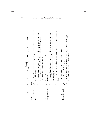|                                    |          | Scale and Items of the Active Engagement Student Perception Survey (AESPS)<br>Table 2                                                                                  |
|------------------------------------|----------|------------------------------------------------------------------------------------------------------------------------------------------------------------------------|
| Scale                              | Item     |                                                                                                                                                                        |
| Learning Context<br>$\overline{C}$ | .<br>Ö   | The flipped classroom teaching style gave me more flexibility in learning<br>the course content.                                                                       |
|                                    | zi<br>Ö  | I prefer the flipped classroom teaching style because it gave me more time<br>to practice problem solving than the traditional lecturing style.                        |
|                                    |          | Q7. I prefer the use of interactive videos.                                                                                                                            |
| Engagement (IE)<br>Interactive     | S.<br>Si | The use of interactive videos enabled me to collaborate with other<br>students.                                                                                        |
|                                    |          | opportunities to communicate with other students than the traditional<br>Q5. I prefer the flipped classroom teaching style because it gave me more<br>lecturing style. |
|                                    | .<br>ඊ   | The interactive videos helped me to express my ideas or and opinions in<br>class.                                                                                      |
| Affective                          |          | Q3. I liked watching the lecture materials on video.                                                                                                                   |
| Expression (AE)                    |          | I was more motivated to learn how to solve problems in the flipped<br>Q6. I prefer the new lecturing style.                                                            |
|                                    | s.<br>Si | classroom than in a traditional classroom.                                                                                                                             |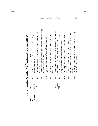Q9. I find that studying academic topics can at times be as exciting I find that studying academic topics can at times be as exciting Q6. I find most new topics interesting and often spend extra time I find most new topics interesting and often spend extra time<br>trying to obtain more information about them. Q5. I feel that virtually any topic can be highly interesting once I I feel that virtually any topic can be highly interesting once I Q2. I find that I have to do enough work on a topic so that I can Q18. I make a point of looking at most of the suggested readings I find that I have to do enough work on a topic so that I can I make a point of looking at most of the suggested readings Q10. I test myself on important topics until I understand them interesting topics which have been discussed in different reference and the control of the state of the been discussed in different I test myself on important topics until I understand them Q17. I attend most classes with questions in mind that I want I attend most classes with questions in mind that I want Q1. I find that at times studying gives me a feeling of deep I find that at times studying gives me a feeling of deep Scale and Items of the Revised Two-Factor Study Process Questionnaire (R-SPQ-2F) **Scale and Items of the Revised Two-Factor Study Process Questionnaire (R-SPQ-2F)** Q13. I work hard at my studies because I find the material I work hard at my studies because I find the material I spend a lot of my free time finding out more about Q14. I spend a lot of my free time finding out more about form my own conclusions before I am satisfied. form my own conclusions before I am satisfied. trying to obtain more information about them. **Item** *Scale Subscale Item* as a good novel or movie. as a good novel or movie. that go with the lectures. that go with the lectures.personal satisfaction. personal satisfaction. Table 3 completely. interesting. interesting. answered. get into it. answered. classes. Q17. Q13. Q10. Q14.  $Q18$ . Q5.  $Q$  $\delta$  $\partial$  $\overline{S}$ Strategy (DS) Subscale Deep<br>Motive<br>(DM) Deep **Approach (DA) Deep**  Scale

# *Flipped Instruction in STEM 51*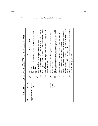|               |                          |                | Scale and Items of the Revised Two-Factor Study Process Questionnaire (R-SPQ-2F)<br>Table 3 (continued)                                                              |
|---------------|--------------------------|----------------|----------------------------------------------------------------------------------------------------------------------------------------------------------------------|
| Scale         | Subscale                 |                | Item                                                                                                                                                                 |
| Surface       | Surface                  | Q3.            | My aim is to pass the course while doing as little work as                                                                                                           |
| Approach (SA) | Motive<br>(SM)           | Q7.            | I do not find my course very interesting, so I keep my work to<br>the minimum.<br>possible.                                                                          |
|               |                          | $\overline{C}$ | I find I can get by in most assessments by memorizing key<br>sections rather than trying to understand them.                                                         |
|               |                          | Q15.           | I find it is not helpful to study topics in depth. It confuses me                                                                                                    |
|               |                          |                | and wastes time, when all you need is a passing acquaintance<br>with topics.                                                                                         |
|               |                          | Q19.           | I see no point in learning material which is not likely to be in<br>the examination.                                                                                 |
|               | Strategy<br>Surface      | S.             | I only study seriously what is given out in class or in the<br>course outlines.                                                                                      |
|               | $\widetilde{\mathrm{S}}$ | $\infty$       | I learn some things by rote, going over and over them until I<br>know them by heart even if I do not understand them.                                                |
|               |                          | Q12.           | I generally restrict my study to what is specifically set, as I<br>think it is unnecessary to do anything extra.                                                     |
|               |                          | Q16.           | significant amounts of time studying material everyone knows<br>I believe that lecturers should not expect students to spend<br>for which they will not be examined. |
|               |                          | 020.           | I find the best way to pass examinations is to try to remember<br>answers to likely questions.                                                                       |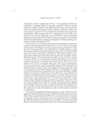employed to select a sample size of 91 ( $N = 91$ ) respondents. Moreover, a purposive sampling method is typically employed when the sample selected is readily available in the particular time frame of the study and when the experimental design includes random assignment to the treatment groups. A power test was performed to determine the sample size requirements. With a sample size of 91, a significance level of 0.05, and a test power of 0.95, the study had a power of 0.852 to yield a statistically significant result (Cohen, 1977). Hence, students taking the course (Mathematics II) represented a sample size adequate for statistical testing and analysis (Cochran & William, 1977).

From weeks 1-12, 91 students participated in the traditional classroom lecture format facilitated by the instructor. In week 13 the same students participated in the flipped learning approach using interactive video lectures, facilitated by the same instructor but with the difference being the teaching method using the flipped learning approach supported by interactive video technology (see Table 4). This study utilized a onegroup before-after quasi-experimental design (Cook, Campbell, & Day, 1979); this design was employed for the following reasons. First, while it would be ideal to use a conventional experimental design and carry out random assignment to treatment and control groups, the lack of availability of two classes of students taking the same course necessitated a one-group before-after quasi-experimental design for both practical and ethical reasons. Second, ideally, if the flipped learning approach could be implemented around the middle of the term, it would allow a longer exposure for students to experience this new approach. That being said, the instructor participating in the study was keen to ensure that the materials would be covered using the current approach. Given the voluntary nature of the study, study, permission for a 13-week before-after intervention design using a flipped learning approach was granted. Moreover, while it is acknowledged there could be a novelty effect from using a flipped learning approach for one week, it would also be difficult to ascertain the wear out effect should a longer period be used. Hence, for the purpose of this exploratory study, the existence of such a novelty effect is accepted as a limitation.

At the end of the flipped learning intervention in week 13, the Active Engagement Student Perception Survey (AESPS) and the Revised Two-Factor Study Process Questionnaire (R-SPQ-2F) were administered to students to complete. The two instruments served an important role in assessing the effect that flipped instruction had on students' learning approaches (that is, the deep learning approach and the surface learning approach).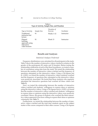|                                                                        | Type of Activity, Sample Size, and Duration | Table 4                 |             |
|------------------------------------------------------------------------|---------------------------------------------|-------------------------|-------------|
| Type of Activity                                                       | Sample Size                                 | Duration of<br>Exercise | Facilitator |
| Traditional<br>instructor-led<br>lecture                               | 91                                          | Weeks 1-12              | Instructor  |
| Flipped<br>learning<br>approach using<br>interactive<br>video lectures | 91                                          | Week 13                 | Instructor  |

# **Results and Analyses**

#### *Statistical Analyses Performed*

Frequency distributions were calculated for all participants in the study. Table 5 shows the number of interactive videos watched in relation to the gender of the participants (81 males and 10 females). Before testing the relationship coefficients of each of the three hypotheses, we tested a number of correlations using data from the study. We tested the relationship between the number of interactive videos watched and the frequency of questions attempted on the interactive videos. Using a Chi-Square test (*p* <0.001), we found the number of interactive videos students watched and the frequency of questions they attempted on the interactive videos were positively associated. We found that those students who regularly attempted the interactive questions had watched all three videos (see Table 6).

Next, we tested the relationship between the number of interactive videos watched and students' willingness to express ideas or opinions using the interactive videos. Using a Chi-Square test (*p* <0.001), we found that the number of interactive videos watched and students' willingness to express ideas or opinions using the interactive videos were positively correlated. Hence, the group of students who watched the three interactive videos appeared to be more willing to express their ideas or opinions voluntarily (see Table 7).

Furthermore, we tested the relationship between the number of interactive videos watched and the total time students spent on the subject matter of the course compared to their other courses. Using a Chi-Square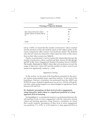|                                         | Table 5<br><b>Viewing of Videos by Students</b> |       |
|-----------------------------------------|-------------------------------------------------|-------|
|                                         |                                                 | Total |
| How many interactive videos             | $\theta$                                        | 18    |
| did you watch out of the total of<br>3? | $\mathbf{1}$                                    | 27    |
|                                         | 2                                               | 9     |
|                                         | 3                                               | 37    |
| Total                                   |                                                 | 91    |

test  $(p \le 0.005)$ , we found that the number of interactive videos watched and the duration of time the students spent on the subject matter of the course compared to other courses were positively related. The students who did not watch any interactive videos spent less time on this course than on their other courses (see Table 8).

Finally, we performed a *t* test to examine the relationship between the number of interactive videos watched and their choices for Q4, Q5, Q6, and Q7 of the Active Engagement Student Perception Survey (AESPS). The results, illustrated in Table 9, show that only preference toward the usage of interactive videos (Q7) and the number of videos viewed were found to be significantly related  $(p=.018)$ .

### *Hypotheses Testing*

In this section, we test each of the hypotheses presented in the previous section using multiple linear regression analysis. To test each of the hypotheses, Pearson's correlation was performed from the AESPS and R-SPQ-2F scores. Statistical significance was set at *p* <0.05 for all hypothesis tests, while partial support was acknowledged at significance levels between 0.05 and 0.10.

# **H1 : Students' perceptions of their level of active engagement using interactive math videos is a significant predictor of a deep approach (DA) to learning.**

For hypothesis 1, a correlational analysis was performed between the self-reported levels of active engagement with the interactive lecture videos and learning approach. Using Pearson's correlation, we found that overall, students' perceptions of their level of active engagement was positively (\*\* $p$  <0.05; \* $p$  <0.10) related to a deep approach (DA) to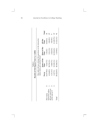|                                         |             | Results of Chi-Square Test (* $p < 0.001$ )<br>Table 6 |                                                            |                 |                         |
|-----------------------------------------|-------------|--------------------------------------------------------|------------------------------------------------------------|-----------------|-------------------------|
|                                         |             | videos when you watched them?                          | How often did you attempt the questions in the interactive |                 |                         |
|                                         | Never       | Some of the<br>Time                                    | Most of the<br>Time                                        | All the<br>Time | Total                   |
| How many                                | $4(77.8\%)$ | $3(16.7\%)$                                            | $1(5.6\%)$                                                 | $(0.0\%)$       | $\frac{\infty}{\infty}$ |
| did you watch out<br>interactive videos | $4(14.8\%)$ | 20 (74.1%)                                             | $3(11.1\%)$                                                | $0(0.0\%)$      |                         |
| of the total of $3$ ?                   | $(11.1\%)$  | 6(66.7%)                                               | $2(22.2\%)$                                                | $0(0.0\%)$      |                         |
|                                         | 1(2.7%)     | $13(35.1\%)$                                           | $12(32.4\%)$                                               | (1 (29.7%)      |                         |
| Total                                   | 20 (22.0%)  | 42 (46.2%)                                             | $1(19.8\%)$                                                | 11 (12.1%)      |                         |
|                                         |             |                                                        |                                                            |                 |                         |

*56 Journal on Excellence in College Teaching*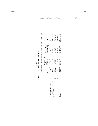|                                                   |            | Results of Chi-Square Test (* p < 0.001)<br>Table 7 |                                                                   |               |
|---------------------------------------------------|------------|-----------------------------------------------------|-------------------------------------------------------------------|---------------|
|                                                   |            |                                                     | The interactive videos helped me to express my ideas or opinions. |               |
|                                                   |            | Yes, Picked                                         |                                                                   |               |
|                                                   |            | by the                                              | Yes, Picked                                                       |               |
|                                                   | $\zeta$    | Instructor                                          | Voluntarily                                                       | Total         |
| How many interactive                              | 12(85.7%)  | $1(7.1\%)$                                          | $1(7.1\%)$                                                        |               |
| videos did you watch out<br>of the total of $3$ ? | 15 (57.6%) | $6(23.1\%)$                                         | $5(19.2\%)$                                                       | $26(30.6\%)$  |
|                                                   | 6(75%)     | 2(25%)                                              | $0.0\%$                                                           | 8 (9.4%)      |
|                                                   | 11(29.7%)  | $7(18.9\%)$                                         | 19(51.3%)                                                         | 37(3.5%)      |
| Total                                             | 44 (51.8%) | $16(18.8\%)$                                        | 25 (29.4%)                                                        | $85(100.0\%)$ |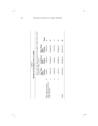|                                                  |                               | Results of Chi-Square Test (*p<0.005)<br>Table 8                 |                               |                |
|--------------------------------------------------|-------------------------------|------------------------------------------------------------------|-------------------------------|----------------|
|                                                  | compared to other courses?    | How much time did you spend on the subject matter of this course |                               |                |
|                                                  | Less Than<br>Courses<br>Other | As Much as<br>Courses<br>Other                                   | More Than<br>Other<br>Courses | Total          |
| videos did you watch out<br>How many interactive | 6(40%)                        | 4(26.7%)                                                         | 5(33.3%)                      | $\overline{5}$ |
| of the total of $3$ ?                            | $3(11.1\%)$                   | $12(44.4\%)$                                                     | $12(44.4\%)$                  | 27             |
|                                                  | $2(22.2\%)$                   | $0(0.0\%)$                                                       | 7 (77.7%)                     |                |
|                                                  | 1(2.7%)                       | 18 (48.6%)                                                       | 18 (48.6%)                    | 37             |
| Total                                            | $12(13.6\%)$                  | 34 (38.6%)                                                       | 42 (47.7%)                    | 88             |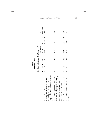|                                                                                                                                                                              |              | t Test Results (* $p$ < 0.5)<br>Table 9 |                |                                          |       |    |                    |
|------------------------------------------------------------------------------------------------------------------------------------------------------------------------------|--------------|-----------------------------------------|----------------|------------------------------------------|-------|----|--------------------|
|                                                                                                                                                                              |              |                                         |                | One-Sample Statistics (Test Value = 0.5) |       |    |                    |
|                                                                                                                                                                              | $\mathsf{z}$ | Mean                                    | $\overline{3}$ | Std. Error<br>Mean                       |       | ಕ  | Sig.<br>(2-tailed) |
| solving than the traditional lecturing<br>Q4. I prefer the flipped classroom<br>teaching style because it gave me<br>more time to practice problem<br>style.                 | 88           | 56                                      | 500            | 053                                      | 1.067 | 78 | 289                |
| more opportunities to communicate<br>Q5. I prefer the flipped classroom<br>teaching style because it gave me<br>with other students than the<br>traditional lecturing style. | 88           | 55                                      | 501            | 053                                      | .851  | 87 | 397                |
| Q6. I prefer the new lecturing style.                                                                                                                                        | 88           | Б <sub>2</sub>                          | 502            | 054                                      | .424  | 87 | 672                |
| Q7. I prefer the use of interactive<br>videos.                                                                                                                               | 88           | 63                                      | 487            | 052                                      | 2.408 | 87 | $018*$             |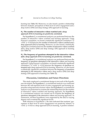learning (see Table 10). Moreover, we also found a positive relationship between students' perceptions of their level of active engagement and a deep motive (DM) and deep strategy (DS) approach to learning.

# **H2 : The number of interactive videos watched and a deep approach (DA) to learning are positively correlated.**

For hypothesis 2, a correlational analysis was performed between the number of interactive videos watched and learning approach. Using Pearson's correlation, we found a statistically significant correlation (\*\**p* <0.05; \**p* <0.10) between the number of interactive videos watched and a deep approach (DA) to learning. Moreover, we also found a statistically significant correlation between the number of interactive videos watched and a deep motive (DM) and deep strategy (DS) approach to learning (see Table 11).

# **H3 : The frequency of questions attempted in the interactive videos and a deep approach (DA) to learning are positively correlated.**

For hypothesis 3, a correlational analysis was performed between the frequency of questions attempted in the interactive videos and learning approach. Using Pearson's correlation, we found a statistically significant correlation (\*\* $p$  <0.05; \* $p$  <0.10) between the frequency of questions attempted and a deep approach (DA) to learning. Moreover, we also found a statistically significant correlation between the frequency of questions attempted in the interactive videos and a deep motive (DM) and deep strategy (DS) approach to learning (see Table 12).

# **Discussion, Limitations and Future Directions**

This study employed a correlational design to test each of the hypotheses developed. For hypothesis 1, a correlational analysis was conducted between the self-reported levels of active engagement and learning approaches using interactive lecture videos. For hypothesis 2, a correlational analysis was performed to examine the relationship between the number of interactive videos watched and learning approach. For hypothesis 3, a correlational analysis was carried out to examine the frequency of questions attempted in the interactive videos and learning approach. To summarize, all three hypotheses were supported by the data to varying degrees and at statistically significant levels.

With reference to hypothesis 1, the data indicated that students' perceptions of their level of active engagement was positively related (\*\**p* <0.05; \**p* <0.10) to a deep approach (DA) to learning. A positive relation-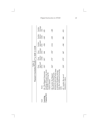| Pearson's Correlation Results (** $p$ < 0.05; * $p$ < 0.10)<br>Table 10 | Surface<br>Strategy<br>(SS)<br>Surface Surface<br>Approach Motive<br>(SA) (SM)<br>Deep<br>Strategy<br>(DS) (<br>Deep Deep L<br>Approach Motive S<br>(DA) (DM) (<br>Items | 025<br>$-065$<br>$-0.024$<br>064<br>$.181*$<br>$.126*$<br>teaching style gave me more<br>flexibility in learning the<br>Q1. The flipped classroom<br>course content. | $-003$<br>$-023$<br>$-0.14$<br>$.150*$<br>$.173*$<br>$.166*$<br>because it gave me more time<br>than the traditional lecturing<br>to practice problem solving<br>classroom teaching style<br>24. I prefer the flipped<br>style. | 015<br>-088<br>-.041<br>067<br>$.173*$<br>$.124*$<br>Q7. I prefer the use of<br>interactive videos. |
|-------------------------------------------------------------------------|--------------------------------------------------------------------------------------------------------------------------------------------------------------------------|----------------------------------------------------------------------------------------------------------------------------------------------------------------------|---------------------------------------------------------------------------------------------------------------------------------------------------------------------------------------------------------------------------------|-----------------------------------------------------------------------------------------------------|
|                                                                         | Scale                                                                                                                                                                    | Context (LC)<br>Learning                                                                                                                                             |                                                                                                                                                                                                                                 |                                                                                                     |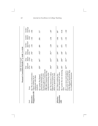|                         | Pearson's Correlation Results (** $p$ < 0.05; * $p$ < 0.10)                                                                                                                     | Table 10 (continued)                      |          |                          |                             |                           |                             |
|-------------------------|---------------------------------------------------------------------------------------------------------------------------------------------------------------------------------|-------------------------------------------|----------|--------------------------|-----------------------------|---------------------------|-----------------------------|
| Scale                   | <b>Items</b>                                                                                                                                                                    | Deep Deep<br>Approach Motive<br>(DA) (DM) |          | Deep<br>Strategy<br>(DS) | Surface<br>Approach<br>(SA) | Surface<br>Motive<br>(SM) | Surface<br>Strategy<br>(SS) |
| Interactive             | Q2. The use of interactive<br>collaborate with other<br>Engagement (IE) videos enabled me to<br>students.                                                                       | $190*$                                    | $176*$   | 194*                     | $-101$                      | $-162$                    | $-026$                      |
|                         | opportunities to communicate<br>with other students than the<br>traditional lecturing style.<br>classroom teaching style<br>because it gave me more<br>Q5. I prefer the flipped | $.029*$                                   | $.067*$  | $-0.012*$                | .089                        | .058                      | 117                         |
|                         | Q8. The interactive videos<br>ideas or opinions in class.<br>helped me to express my                                                                                            | .394**                                    | $.415**$ | $.351**$                 | $-229$                      | $-234$                    | $-207$                      |
| Expression<br>Affective | lecture materials on video.<br>Q3. I liked watching the                                                                                                                         | $.204***$                                 | $.209**$ | $.189*$                  | $\overline{0}$              | -.046                     | 087                         |
| ÂĒ)                     | Q6. I prefer the new lecturing .183*<br>style.                                                                                                                                  |                                           | $.208**$ | $.148*$                  | $-073$                      | $-0.077$                  | $-0.64$                     |
|                         | Q9. I was more motivated to $.267**$<br>in the flipped classroom than<br>learn how to solve problems<br>in a traditional classroom.                                             |                                           | $.321**$ | $.197*$                  | $-133$                      | $-101$                    | $-160$                      |

*62 Journal on Excellence in College Teaching*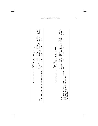| Pearson's Correlation Results (** $p < 0.05$ ; * $p < 0.10$ )                                                  | Table 11 |                      |                 |                                                                                             |        |                               |
|----------------------------------------------------------------------------------------------------------------|----------|----------------------|-----------------|---------------------------------------------------------------------------------------------|--------|-------------------------------|
| How many interactive videos did you watch?.405**<br><b>Items</b>                                               |          | $.392^{**}$          | $.398^{**}$     | Deep Deep Deep Surface Surface<br>Approach Motive Strategy Approach Motive<br>$-146$        | $-161$ | Surface<br>Strategy<br>$-117$ |
|                                                                                                                |          |                      |                 |                                                                                             |        |                               |
| Pearson's Correlation Results (** $p$ < 0.05; * $p$ < 0.10)                                                    | Table 12 |                      |                 |                                                                                             |        |                               |
| How often did you attempt the questions .382**<br>in the interactive videos when you<br>watched them?<br>Items |          | $.367$ <sup>**</sup> | $.377***$ - 187 | Deep Deep Deep Surface Surface Surface<br>Approach Motive Strategy Approach Motive Strategy | $-216$ | $-140$                        |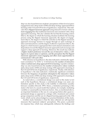ship was also found between students' perceptions of their level of active engagement and a deep motive (DM) and deep strategy approach (DS) to learning at the 0.10 and 0.05 levels of significance, respectively. This indicates that a flipped classroom approach using interactive lecture videos is more engaging than the traditional classroom and consistent with a deep approach to learning. This also validates the fact that the learning context (that is, the degree to which the learning situation facilitates the learning process using the flipped classroom approach), the degree of engagement (that is, the degree to which the activities in the flipped classroom approach encourage learners to engage through an open exchange of ideas and interactions), and the degree of affective expression (that is, the degree to which learners appropriate their motivational orientations and dispositions toward the flipped classroom approach) each encourage and support a deep approach to learning. Moreover, this result may indicate a higher student preference toward the use of interactive videos, a willingness to express ideas or opinions, and the perception that the flipped classroom approach is more engaging and offers more opportunities to communicate with each other.

With reference to hypothesis 2, the data indicated a statistically significant correlation (\*\**p* **<**0.05; \**p* <0.10) between the number of interactive videos watched and a deep approach (DA) to learning. A positive relationship was also found between the number of interactive videos watched and a deep motive (DM) and deep strategy (DS) approach to learning at the 0.10 and 0.05 levels of significance, respectively. Finally, with reference to hypothesis 3, the data indicated a statistically significant correlation between the frequency of questions attempted in the interactive videos and a deep motive (DM) and deep strategy (DS) approach to learning at the 0.10 and 0.05 levels of significance, respectively.

As noted above, a correlational design was used in this study to test each of the hypotheses. Because a correlational design was used, one limitation specific to this study is the inability to determine causality between variables (Howell, 1997). Hence, a limitation pertaining to this study is the lack of a causal model that explores, for example, mediating variables or causal pathways between factors. Also, as mentioned above, an important limitation is the use of a one-group before-after quasi-experimental design as opposed to a design with a treatment and control group comparison and the use of a flipped learning approach in the 13th week, which can be acknowledged as a practical limitation of this study.

Another study limitation is that the data collected are self-reported measures that represent subjects' perceptions. This poses a potential for response bias, which may subsequently influence the findings and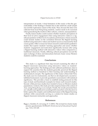interpretation of results. A final limitation of this study is that the generalizability of the findings is limited due to the relatively small sample size and the exploratory nature of the study. Thus, because the data were collected from local Hong Kong students, caution needs to be exercised when generalizing the results to other cultures, contexts, and populations.

Finally, future studies could examine whether students' perceptions of their level of active engagement when using interactive videos is a significant predictor of their level of academic performance. Future research could include studies on the correlation between the flipped learning method using interactive videos and student success as measured by final course grades. Other avenues for future research could include qualitative studies that explore students' learning approaches and assess whether students' engagement and motivation significantly increase after using a flipped learning method with interactive videos when compared to a traditional classroom. Finally, differing cultural perceptions toward the open exchange of ideas and interactions between Asian versus Western students could be examined.

# **Conclusions**

This study is a significant first step toward examining the effect of flipped classroom instruction using interactive videos on students' learning approaches. The findings provide sufficient preliminary data to support the assertion that the students generally perceived the flipped learning method as beneficial to their learning and understanding of mathematical concepts. The significance of this study is three-fold: First, the study uses two instruments, one that we developed and a second established instrument, to provide quantitative assessments with statistical significance. This provides a basis to establish testing protocols for this type of study and benchmark examples for future such research studies. Second, while previous studies have tended to focus on Western student populations/contexts, this study provides empirical data in the context of Asia, using Hong Kong as an example. Finally, the results presented here are valuable and significant in assisting both researchers and educators to better capture the complex and multifaceted nature of the flipped learning method, while concurrently serving as a catalyst for future studies on flipped classroom instruction and approaches.

#### **References**

Biggs, J., Kember, D., & Leung, D. Y. (2001). The revised two-factor study process questionnaire: R-SPQ-2F. *British Journal of Educational Psychology, 71*(1), 133-149.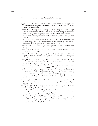- Biggs, J. B. (1987). *Learning process questionnaire manual: Student approaches to learning and studying*. Hawthorn, Victoria, Australia: Council for Educational Research.
- Chong, K. E., Wong, K.-L., Leung, C.-W., & Ting, F. S. (2019, July). *Flipped-classroom with interactive videos in first year undergraduate physics course in Hong Kong.* Paper presented at the 15th Conference on Education and Training in Optics and Photonics, Quebec City, Quebec, Canada.
- Clark, K. R. (2015). The effects of the flipped model of instruction on student engagement and performance in the secondary mathematics classroom. *Journal of Educators Online, 12*(1), 91-115.
- Cochran, W. G., & William, G. (1977). *Sampling techniques.* New York, NY: Wiley.
- Cohen, J. (1977). *Statistical power analysis for the behavioral sciences*. New York, NY: Academic Press.
- Cook, T. D., Campbell, D. T., & Day, A. (1979). *Quasi-experimentation: Design & analysis issues for field settings* (Vol. 351). Boston, MA: Houghton Mifflin.
- Cortright, R. N., Collins, H. L., & DiCarlo, S. E. (2005). Peer instruction enhanced meaningful learning: Ability to solve novel problems. *Advances in Physiology Education, 29*(2), 107-111.
- Danker, B. (2015). Using flipped classroom approach to explore deep learning in large classrooms. *The IAFOR Journal of Education, 3*(1), 171-186.
- Fryer, L. K., Ginns, P., Walker, R. A., & Nakao, K. (2012). The adaptation and validation of the CEQ and the R-SPQ-2F to the Japanese tertiary environment. *British Journal of Educational Psychology, 82*(4), 549-563.
- Howell, D. C. (1997). *Statistical methods for psychology*. Belmont, CA: Wadsworth.
- Karaca, C., & Ocak, M. (2017). Effect of flipped learning on cognitive load: A higher education research. *Journal of Learning and Teaching in Digital Age, 2*(1), 20-27.
- Keengwe, J. (2014). *Promoting active learning through the flipped classroom model*. Hershey, PA: IGI Global.
- Lai, C.-L., & Hwang, G.-J. (2016). A self-regulated flipped classroom approach to improving students' learning performance in a mathematics course. *Computers & Education, 100*, 126-140.
- Le Roux, I., & Nagel, L. (2018). Seeking the best blend for deep learning in a flipped classroom–viewing student perceptions through the Community of Inquiry lens. *International Journal of Educational Technology in Higher Education, 15*(16), 1-28.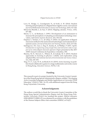- Love, B., Hodge, A., Grandgenett, N., & Swift, A. W. (2014). Student learning and perceptions in a flipped linear algebra course. *International Journal of Mathematical Education in Science and Technology, 45*(3), 317-324.
- McGivney-Burelle, J., & Xue, F. (2013). Flipping calculus. *Primus, 23*(5), 477-486.
- Moore, G. C., & Benbasat, I. (1991). Development of an instrument to measure the perceptions of adopting an information technology innovation. *Information Systems Research, 2*(3), 192-222.
- Özpinar, İ., Yenmez, A. A., & Gökçe, S. (2016). An application of flipped classroom method in the instructional technologies and material development course. *Journal of Education and Training Studies, 4*(12), 213-226.
- Santiago Jr, J. M., Guo, J., Eng, D., Kasley, K., & Phillips, P. (2017, April). *Introduction to engineering using Google Docs and interactive video in support of an online flipped classroom approach*. Paper presented at the 2017 ASEE Annual Conference & Exposition, Columbus, OH.
- Sharma, M. D., Stewart, C., Wilson, R., & Gokalp, M. S. (2013). Student approaches to learning in physics—validity and exploration using adapted SPQ. *International Journal of Environmental and Science Education, 8*(2), 241-253.
- Ting, F. S. T., Lam, W. H., & Shroff, R. H. (2019). Active learning via problem-based collaborative games in a large mathematics university course in Hong Kong. *Education Sciences, 9*(172), 1-22.

# **Funding**

This research is part of a project funded by the University Grants Committee of the Hong Kong Special Administrative Region, entitled "Developing Active Learning Pedagogies and Mobile Applications in University STEM Education" (PolyU2/T&L/16-19), with additional support from the Hong Kong Polytechnic University.

# **Acknowledgments**

The authors would like to thank the University Grants Committee of the Hong Kong Special Administrative Region and the Hong Kong Polytechnic University (PolyU) for funding this project. Ethical clearance (HSEARS20171128001-01) was obtained in accordance with the guidelines of the Human Subjects Ethics Sub-committee (HSESC) at PolyU.